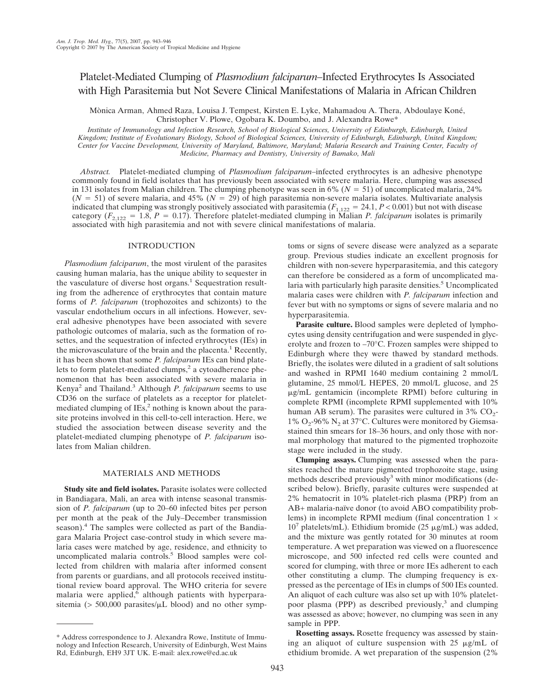# Platelet-Mediated Clumping of *Plasmodium falciparum*–Infected Erythrocytes Is Associated with High Parasitemia but Not Severe Clinical Manifestations of Malaria in African Children

Mònica Arman, Ahmed Raza, Louisa J. Tempest, Kirsten E. Lyke, Mahamadou A. Thera, Abdoulaye Koné, Christopher V. Plowe, Ogobara K. Doumbo, and J. Alexandra Rowe\*

*Institute of Immunology and Infection Research, School of Biological Sciences, University of Edinburgh, Edinburgh, United Kingdom; Institute of Evolutionary Biology, School of Biological Sciences, University of Edinburgh, Edinburgh, United Kingdom; Center for Vaccine Development, University of Maryland, Baltimore, Maryland; Malaria Research and Training Center, Faculty of Medicine, Pharmacy and Dentistry, University of Bamako, Mali*

*Abstract.* Platelet-mediated clumping of *Plasmodium falciparum*–infected erythrocytes is an adhesive phenotype commonly found in field isolates that has previously been associated with severe malaria. Here, clumping was assessed in 131 isolates from Malian children. The clumping phenotype was seen in  $6\%$  ( $N = 51$ ) of uncomplicated malaria, 24%  $(N = 51)$  of severe malaria, and 45%  $(N = 29)$  of high parasitemia non-severe malaria isolates. Multivariate analysis indicated that clumping was strongly positively associated with parasitemia ( $F_{1,122} = 24.1, P < 0.001$ ) but not with disease category  $(F_{2,122} = 1.8, P = 0.17)$ . Therefore platelet-mediated clumping in Malian *P. falciparum* isolates is primarily associated with high parasitemia and not with severe clinical manifestations of malaria.

## INTRODUCTION

*Plasmodium falciparum*, the most virulent of the parasites causing human malaria, has the unique ability to sequester in the vasculature of diverse host organs.<sup>1</sup> Sequestration resulting from the adherence of erythrocytes that contain mature forms of *P. falciparum* (trophozoites and schizonts) to the vascular endothelium occurs in all infections. However, several adhesive phenotypes have been associated with severe pathologic outcomes of malaria, such as the formation of rosettes, and the sequestration of infected erythrocytes (IEs) in the microvasculature of the brain and the placenta.<sup>1</sup> Recently, it has been shown that some *P. falciparum* IEs can bind platelets to form platelet-mediated clumps,<sup>2</sup> a cytoadherence phenomenon that has been associated with severe malaria in Kenya<sup>2</sup> and Thailand.3 Although *P. falciparum* seems to use CD36 on the surface of platelets as a receptor for plateletmediated clumping of  $IES^2$  nothing is known about the parasite proteins involved in this cell-to-cell interaction. Here, we studied the association between disease severity and the platelet-mediated clumping phenotype of *P. falciparum* isolates from Malian children.

## MATERIALS AND METHODS

**Study site and field isolates.** Parasite isolates were collected in Bandiagara, Mali, an area with intense seasonal transmission of *P. falciparum* (up to 20–60 infected bites per person per month at the peak of the July–December transmission season).<sup>4</sup> The samples were collected as part of the Bandiagara Malaria Project case-control study in which severe malaria cases were matched by age, residence, and ethnicity to uncomplicated malaria controls.<sup>5</sup> Blood samples were collected from children with malaria after informed consent from parents or guardians, and all protocols received institutional review board approval. The WHO criteria for severe malaria were applied,<sup>6</sup> although patients with hyperparasitemia ( $> 500,000$  parasites/ $\mu$ L blood) and no other symptoms or signs of severe disease were analyzed as a separate group. Previous studies indicate an excellent prognosis for children with non-severe hyperparasitemia, and this category can therefore be considered as a form of uncomplicated malaria with particularly high parasite densities.<sup>5</sup> Uncomplicated malaria cases were children with *P. falciparum* infection and fever but with no symptoms or signs of severe malaria and no hyperparasitemia.

**Parasite culture.** Blood samples were depleted of lymphocytes using density centrifugation and were suspended in glycerolyte and frozen to –70°C. Frozen samples were shipped to Edinburgh where they were thawed by standard methods. Briefly, the isolates were diluted in a gradient of salt solutions and washed in RPMI 1640 medium containing 2 mmol/L glutamine, 25 mmol/L HEPES, 20 mmol/L glucose, and 25 g/mL gentamicin (incomplete RPMI) before culturing in complete RPMI (incomplete RPMI supplemented with 10% human AB serum). The parasites were cultured in  $3\%$  CO<sub>2</sub>- $1\%$  O<sub>2</sub>-96% N<sub>2</sub> at 37°C. Cultures were monitored by Giemsastained thin smears for 18–36 hours, and only those with normal morphology that matured to the pigmented trophozoite stage were included in the study.

**Clumping assays.** Clumping was assessed when the parasites reached the mature pigmented trophozoite stage, using methods described previously<sup>3</sup> with minor modifications (described below). Briefly, parasite cultures were suspended at 2% hematocrit in 10% platelet-rich plasma (PRP) from an AB+ malaria-naïve donor (to avoid ABO compatibility problems) in incomplete RPMI medium (final concentration  $1 \times$  $10^7$  platelets/mL). Ethidium bromide (25  $\mu$ g/mL) was added, and the mixture was gently rotated for 30 minutes at room temperature. A wet preparation was viewed on a fluorescence microscope, and 500 infected red cells were counted and scored for clumping, with three or more IEs adherent to each other constituting a clump. The clumping frequency is expressed as the percentage of IEs in clumps of 500 IEs counted. An aliquot of each culture was also set up with 10% plateletpoor plasma (PPP) as described previously, $3$  and clumping was assessed as above; however, no clumping was seen in any sample in PPP.

**Rosetting assays.** Rosette frequency was assessed by staining an aliquot of culture suspension with  $25 \mu g/mL$  of ethidium bromide. A wet preparation of the suspension (2%

<sup>\*</sup> Address correspondence to J. Alexandra Rowe, Institute of Immunology and Infection Research, University of Edinburgh, West Mains Rd, Edinburgh, EH9 3JT UK. E-mail: alex.rowe@ed.ac.uk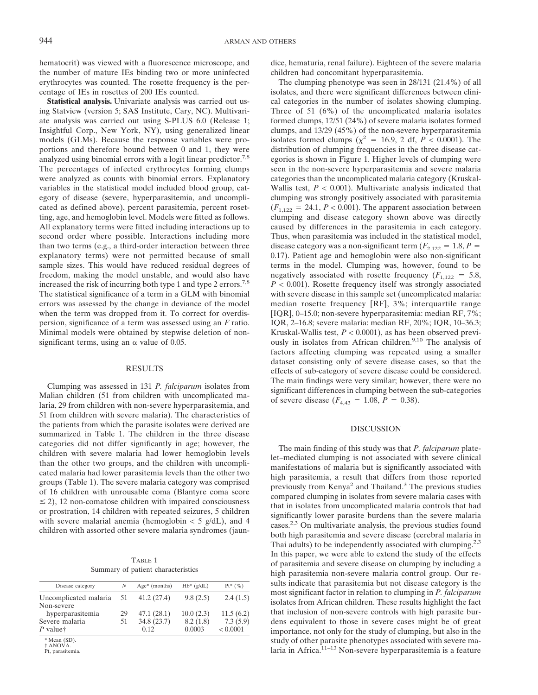hematocrit) was viewed with a fluorescence microscope, and the number of mature IEs binding two or more uninfected erythrocytes was counted. The rosette frequency is the percentage of IEs in rosettes of 200 IEs counted.

**Statistical analysis.** Univariate analysis was carried out using Statview (version 5; SAS Institute, Cary, NC). Multivariate analysis was carried out using S-PLUS 6.0 (Release 1; Insightful Corp., New York, NY), using generalized linear models (GLMs). Because the response variables were proportions and therefore bound between 0 and 1, they were analyzed using binomial errors with a logit linear predictor.<sup>7,8</sup> The percentages of infected erythrocytes forming clumps were analyzed as counts with binomial errors. Explanatory variables in the statistical model included blood group, category of disease (severe, hyperparasitemia, and uncomplicated as defined above), percent parasitemia, percent rosetting, age, and hemoglobin level. Models were fitted as follows. All explanatory terms were fitted including interactions up to second order where possible. Interactions including more than two terms (e.g., a third-order interaction between three explanatory terms) were not permitted because of small sample sizes. This would have reduced residual degrees of freedom, making the model unstable, and would also have increased the risk of incurring both type 1 and type 2 errors.<sup>7,8</sup> The statistical significance of a term in a GLM with binomial errors was assessed by the change in deviance of the model when the term was dropped from it. To correct for overdispersion, significance of a term was assessed using an *F* ratio. Minimal models were obtained by stepwise deletion of nonsignificant terms, using an  $\alpha$  value of 0.05.

#### RESULTS

Clumping was assessed in 131 *P. falciparum* isolates from Malian children (51 from children with uncomplicated malaria, 29 from children with non-severe hyperparasitemia, and 51 from children with severe malaria). The characteristics of the patients from which the parasite isolates were derived are summarized in Table 1. The children in the three disease categories did not differ significantly in age; however, the children with severe malaria had lower hemoglobin levels than the other two groups, and the children with uncomplicated malaria had lower parasitemia levels than the other two groups (Table 1). The severe malaria category was comprised of 16 children with unrousable coma (Blantyre coma score  $\leq$  2), 12 non-comatose children with impaired consciousness or prostration, 14 children with repeated seizures, 5 children with severe malarial anemia (hemoglobin  $<$  5 g/dL), and 4 children with assorted other severe malaria syndromes (jaun-

| TABLE 1 |  |                                    |  |  |
|---------|--|------------------------------------|--|--|
|         |  | Summary of patient characteristics |  |  |

| Disease category      | N  | $Age*$ (months) | $Hb*$ (g/dL) | $Pt^{*}$ (%) |
|-----------------------|----|-----------------|--------------|--------------|
| Uncomplicated malaria | 51 | 41.2(27.4)      | 9.8(2.5)     | 2.4(1.5)     |
| Non-severe            |    |                 |              |              |
| hyperparasitemia      | 29 | 47.1(28.1)      | 10.0(2.3)    | 11.5(6.2)    |
| Severe malaria        | 51 | 34.8(23.7)      | 8.2(1.8)     | 7.3(5.9)     |
| $P$ valuet            |    | 0.12            | 0.0003       | < 0.0001     |
| $*M$ $(CD)$           |    |                 |              |              |

Mean  $(SD)$ . † ANOVA.

Pt, parasitemia.

dice, hematuria, renal failure). Eighteen of the severe malaria children had concomitant hyperparasitemia.

The clumping phenotype was seen in 28/131 (21.4%) of all isolates, and there were significant differences between clinical categories in the number of isolates showing clumping. Three of 51 (6%) of the uncomplicated malaria isolates formed clumps, 12/51 (24%) of severe malaria isolates formed clumps, and 13/29 (45%) of the non-severe hyperparasitemia isolates formed clumps ( $\chi^2$  = 16.9, 2 df, *P* < 0.0001). The distribution of clumping frequencies in the three disease categories is shown in Figure 1. Higher levels of clumping were seen in the non-severe hyperparasitemia and severe malaria categories than the uncomplicated malaria category (Kruskal-Wallis test,  $P < 0.001$ ). Multivariate analysis indicated that clumping was strongly positively associated with parasitemia  $(F_{1,122} = 24.1, P < 0.001)$ . The apparent association between clumping and disease category shown above was directly caused by differences in the parasitemia in each category. Thus, when parasitemia was included in the statistical model, disease category was a non-significant term  $(F_{2,122} = 1.8, P =$ 0.17). Patient age and hemoglobin were also non-significant terms in the model. Clumping was, however, found to be negatively associated with rosette frequency  $(F_{1,122} = 5.8,$ *P* < 0.001). Rosette frequency itself was strongly associated with severe disease in this sample set (uncomplicated malaria: median rosette frequency [RF], 3%; interquartile range [IQR], 0–15.0; non-severe hyperparasitemia: median RF, 7%; IQR, 2–16.8; severe malaria: median RF, 20%; IQR, 10–36.3; Kruskal-Wallis test, *P* < 0.0001), as has been observed previously in isolates from African children.<sup>9,10</sup> The analysis of factors affecting clumping was repeated using a smaller dataset consisting only of severe disease cases, so that the effects of sub-category of severe disease could be considered. The main findings were very similar; however, there were no significant differences in clumping between the sub-categories of severe disease  $(F_{4,43} = 1.08, P = 0.38)$ .

### DISCUSSION

The main finding of this study was that *P. falciparum* platelet–mediated clumping is not associated with severe clinical manifestations of malaria but is significantly associated with high parasitemia, a result that differs from those reported previously from Kenya<sup>2</sup> and Thailand.<sup>3</sup> The previous studies compared clumping in isolates from severe malaria cases with that in isolates from uncomplicated malaria controls that had significantly lower parasite burdens than the severe malaria cases.<sup>2,3</sup> On multivariate analysis, the previous studies found both high parasitemia and severe disease (cerebral malaria in Thai adults) to be independently associated with clumping.<sup>2,3</sup> In this paper, we were able to extend the study of the effects of parasitemia and severe disease on clumping by including a high parasitemia non-severe malaria control group. Our results indicate that parasitemia but not disease category is the most significant factor in relation to clumping in *P. falciparum* isolates from African children. These results highlight the fact that inclusion of non-severe controls with high parasite burdens equivalent to those in severe cases might be of great importance, not only for the study of clumping, but also in the study of other parasite phenotypes associated with severe malaria in Africa. $11-13$  Non-severe hyperparasitemia is a feature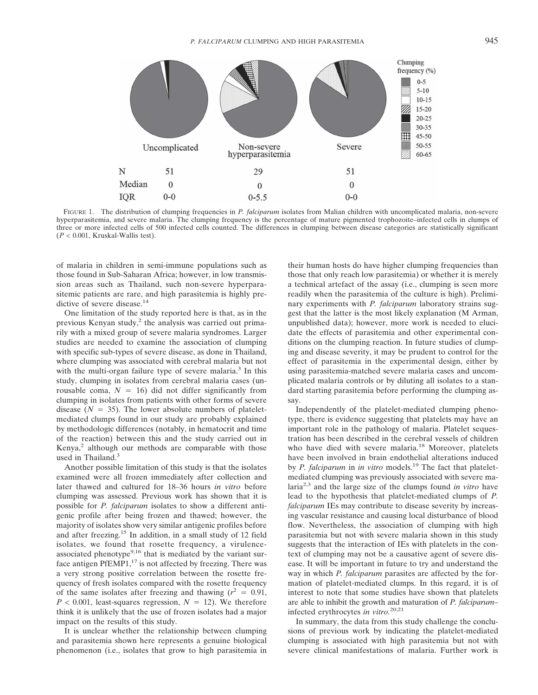

FIGURE 1. The distribution of clumping frequencies in *P. falciparum* isolates from Malian children with uncomplicated malaria, non-severe hyperparasitemia, and severe malaria. The clumping frequency is the percentage of mature pigmented trophozoite–infected cells in clumps of three or more infected cells of 500 infected cells counted. The differences in clumping between disease categories are statistically significant  $(P < 0.001$ , Kruskal-Wallis test).

of malaria in children in semi-immune populations such as those found in Sub-Saharan Africa; however, in low transmission areas such as Thailand, such non-severe hyperparasitemic patients are rare, and high parasitemia is highly predictive of severe disease.<sup>14</sup>

One limitation of the study reported here is that, as in the previous Kenyan study, $2$  the analysis was carried out primarily with a mixed group of severe malaria syndromes. Larger studies are needed to examine the association of clumping with specific sub-types of severe disease, as done in Thailand, where clumping was associated with cerebral malaria but not with the multi-organ failure type of severe malaria.<sup>3</sup> In this study, clumping in isolates from cerebral malaria cases (unrousable coma,  $N = 16$ ) did not differ significantly from clumping in isolates from patients with other forms of severe disease  $(N = 35)$ . The lower absolute numbers of plateletmediated clumps found in our study are probably explained by methodologic differences (notably, in hematocrit and time of the reaction) between this and the study carried out in  $Kenya<sup>2</sup>$  although our methods are comparable with those used in Thailand.<sup>3</sup>

Another possible limitation of this study is that the isolates examined were all frozen immediately after collection and later thawed and cultured for 18–36 hours *in vitro* before clumping was assessed. Previous work has shown that it is possible for *P. falciparum* isolates to show a different antigenic profile after being frozen and thawed; however, the majority of isolates show very similar antigenic profiles before and after freezing.15 In addition, in a small study of 12 field isolates, we found that rosette frequency, a virulenceassociated phenotype<sup>9,16</sup> that is mediated by the variant surface antigen PfEMP1,<sup>17</sup> is not affected by freezing. There was a very strong positive correlation between the rosette frequency of fresh isolates compared with the rosette frequency of the same isolates after freezing and thawing  $(r^2 = 0.91)$ ,  $P < 0.001$ , least-squares regression,  $N = 12$ ). We therefore think it is unlikely that the use of frozen isolates had a major impact on the results of this study.

It is unclear whether the relationship between clumping and parasitemia shown here represents a genuine biological phenomenon (i.e., isolates that grow to high parasitemia in their human hosts do have higher clumping frequencies than those that only reach low parasitemia) or whether it is merely a technical artefact of the assay (i.e., clumping is seen more readily when the parasitemia of the culture is high). Preliminary experiments with *P. falciparum* laboratory strains suggest that the latter is the most likely explanation (M Arman, unpublished data); however, more work is needed to elucidate the effects of parasitemia and other experimental conditions on the clumping reaction. In future studies of clumping and disease severity, it may be prudent to control for the effect of parasitemia in the experimental design, either by using parasitemia-matched severe malaria cases and uncomplicated malaria controls or by diluting all isolates to a standard starting parasitemia before performing the clumping assay.

Independently of the platelet-mediated clumping phenotype, there is evidence suggesting that platelets may have an important role in the pathology of malaria. Platelet sequestration has been described in the cerebral vessels of children who have died with severe malaria.<sup>18</sup> Moreover, platelets have been involved in brain endothelial alterations induced by *P. falciparum* in *in vitro* models.<sup>19</sup> The fact that plateletmediated clumping was previously associated with severe malaria2,3 and the large size of the clumps found *in vitro* have lead to the hypothesis that platelet-mediated clumps of *P. falciparum* IEs may contribute to disease severity by increasing vascular resistance and causing local disturbance of blood flow. Nevertheless, the association of clumping with high parasitemia but not with severe malaria shown in this study suggests that the interaction of IEs with platelets in the context of clumping may not be a causative agent of severe disease. It will be important in future to try and understand the way in which *P. falciparum* parasites are affected by the formation of platelet-mediated clumps. In this regard, it is of interest to note that some studies have shown that platelets are able to inhibit the growth and maturation of *P. falciparum*– infected erythrocytes *in vitro.*20,21

In summary, the data from this study challenge the conclusions of previous work by indicating the platelet-mediated clumping is associated with high parasitemia but not with severe clinical manifestations of malaria. Further work is